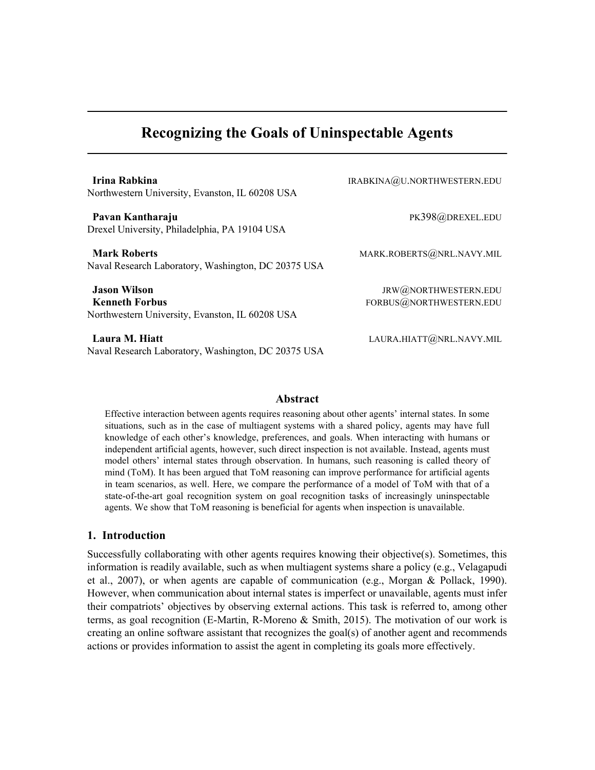# Recognizing the Goals of Uninspectable Agents

Irina Rabkina **IRABKINA** IRABKINA IRABKINA IRABKINA IRABKINA IRABKINA IRABKINA IRABKINA IRABKINA IRA Northwestern University, Evanston, IL 60208 USA Pavan Kantharaju Pava Pavan Kantharaju PK398@DREXEL.EDU Drexel University, Philadelphia, PA 19104 USA **Mark Roberts** MARK.ROBERTS@NRL.NAVY.MIL Naval Research Laboratory, Washington, DC 20375 USA **Jason Wilson** JRW@NORTHWESTERN.EDU Kenneth Forbus FORBUS@NORTHWESTERN.EDU Northwestern University, Evanston, IL 60208 USA

Laura M. Hiatt **Laura M. Hiatt** LAURA.HIATT **CONSTANT AND ALL AURA.HIATT** Naval Research Laboratory, Washington, DC 20375 USA

#### Abstract

Effective interaction between agents requires reasoning about other agents' internal states. In some situations, such as in the case of multiagent systems with a shared policy, agents may have full knowledge of each other's knowledge, preferences, and goals. When interacting with humans or independent artificial agents, however, such direct inspection is not available. Instead, agents must model others' internal states through observation. In humans, such reasoning is called theory of mind (ToM). It has been argued that ToM reasoning can improve performance for artificial agents in team scenarios, as well. Here, we compare the performance of a model of ToM with that of a state-of-the-art goal recognition system on goal recognition tasks of increasingly uninspectable agents. We show that ToM reasoning is beneficial for agents when inspection is unavailable.

# 1. Introduction

Successfully collaborating with other agents requires knowing their objective(s). Sometimes, this information is readily available, such as when multiagent systems share a policy (e.g., Velagapudi et al., 2007), or when agents are capable of communication (e.g., Morgan & Pollack, 1990). However, when communication about internal states is imperfect or unavailable, agents must infer their compatriots' objectives by observing external actions. This task is referred to, among other terms, as goal recognition (E-Martin, R-Moreno & Smith, 2015). The motivation of our work is creating an online software assistant that recognizes the goal(s) of another agent and recommends actions or provides information to assist the agent in completing its goals more effectively.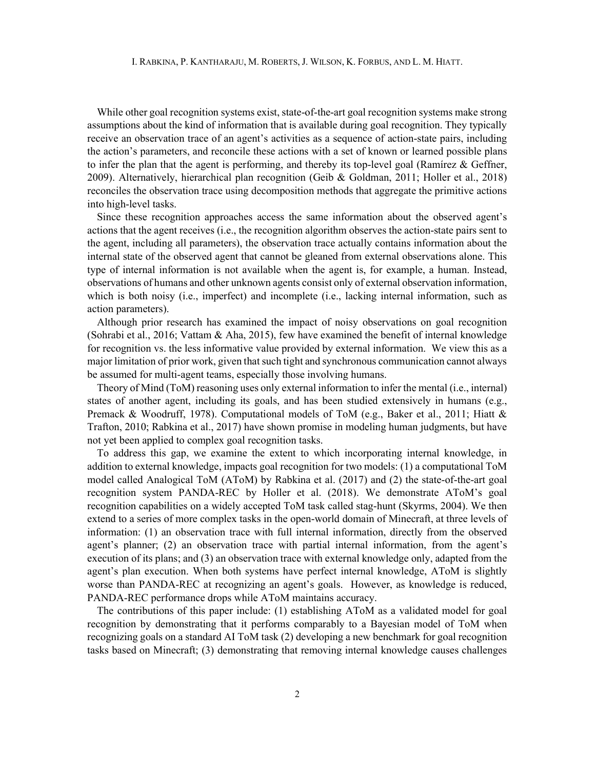While other goal recognition systems exist, state-of-the-art goal recognition systems make strong assumptions about the kind of information that is available during goal recognition. They typically receive an observation trace of an agent's activities as a sequence of action-state pairs, including the action's parameters, and reconcile these actions with a set of known or learned possible plans to infer the plan that the agent is performing, and thereby its top-level goal (Ramírez & Geffner, 2009). Alternatively, hierarchical plan recognition (Geib & Goldman, 2011; Holler et al., 2018) reconciles the observation trace using decomposition methods that aggregate the primitive actions into high-level tasks.

 Since these recognition approaches access the same information about the observed agent's actions that the agent receives (i.e., the recognition algorithm observes the action-state pairs sent to the agent, including all parameters), the observation trace actually contains information about the internal state of the observed agent that cannot be gleaned from external observations alone. This type of internal information is not available when the agent is, for example, a human. Instead, observations of humans and other unknown agents consist only of external observation information, which is both noisy (i.e., imperfect) and incomplete (i.e., lacking internal information, such as action parameters).

 Although prior research has examined the impact of noisy observations on goal recognition (Sohrabi et al., 2016; Vattam & Aha, 2015), few have examined the benefit of internal knowledge for recognition vs. the less informative value provided by external information. We view this as a major limitation of prior work, given that such tight and synchronous communication cannot always be assumed for multi-agent teams, especially those involving humans.

 Theory of Mind (ToM) reasoning uses only external information to infer the mental (i.e., internal) states of another agent, including its goals, and has been studied extensively in humans (e.g., Premack & Woodruff, 1978). Computational models of ToM (e.g., Baker et al., 2011; Hiatt & Trafton, 2010; Rabkina et al., 2017) have shown promise in modeling human judgments, but have not yet been applied to complex goal recognition tasks.

 To address this gap, we examine the extent to which incorporating internal knowledge, in addition to external knowledge, impacts goal recognition for two models: (1) a computational ToM model called Analogical ToM (AToM) by Rabkina et al. (2017) and (2) the state-of-the-art goal recognition system PANDA-REC by Holler et al. (2018). We demonstrate AToM's goal recognition capabilities on a widely accepted ToM task called stag-hunt (Skyrms, 2004). We then extend to a series of more complex tasks in the open-world domain of Minecraft, at three levels of information: (1) an observation trace with full internal information, directly from the observed agent's planner; (2) an observation trace with partial internal information, from the agent's execution of its plans; and (3) an observation trace with external knowledge only, adapted from the agent's plan execution. When both systems have perfect internal knowledge, AToM is slightly worse than PANDA-REC at recognizing an agent's goals. However, as knowledge is reduced, PANDA-REC performance drops while AToM maintains accuracy.

 The contributions of this paper include: (1) establishing AToM as a validated model for goal recognition by demonstrating that it performs comparably to a Bayesian model of ToM when recognizing goals on a standard AI ToM task (2) developing a new benchmark for goal recognition tasks based on Minecraft; (3) demonstrating that removing internal knowledge causes challenges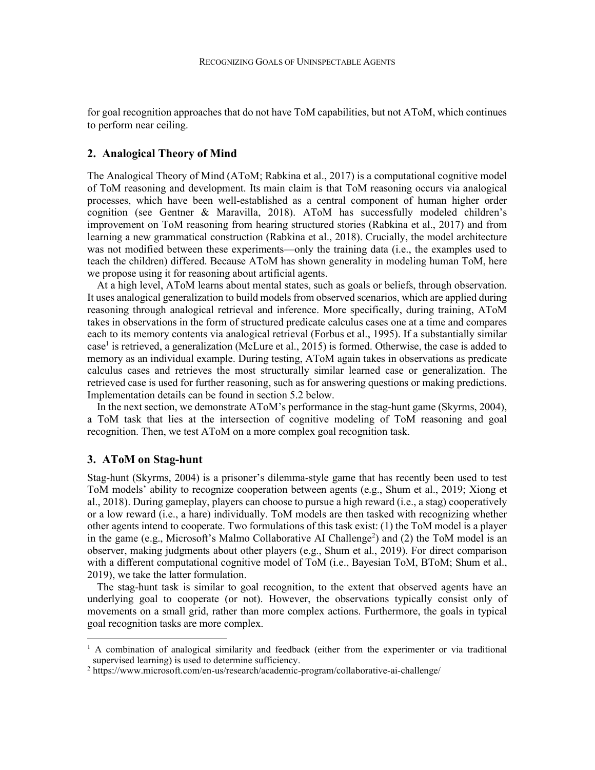for goal recognition approaches that do not have ToM capabilities, but not AToM, which continues to perform near ceiling.

# 2. Analogical Theory of Mind

The Analogical Theory of Mind (AToM; Rabkina et al., 2017) is a computational cognitive model of ToM reasoning and development. Its main claim is that ToM reasoning occurs via analogical processes, which have been well-established as a central component of human higher order cognition (see Gentner & Maravilla, 2018). AToM has successfully modeled children's improvement on ToM reasoning from hearing structured stories (Rabkina et al., 2017) and from learning a new grammatical construction (Rabkina et al., 2018). Crucially, the model architecture was not modified between these experiments—only the training data (i.e., the examples used to teach the children) differed. Because AToM has shown generality in modeling human ToM, here we propose using it for reasoning about artificial agents.

 At a high level, AToM learns about mental states, such as goals or beliefs, through observation. It uses analogical generalization to build models from observed scenarios, which are applied during reasoning through analogical retrieval and inference. More specifically, during training, AToM takes in observations in the form of structured predicate calculus cases one at a time and compares each to its memory contents via analogical retrieval (Forbus et al., 1995). If a substantially similar case<sup>1</sup> is retrieved, a generalization (McLure et al., 2015) is formed. Otherwise, the case is added to memory as an individual example. During testing, AToM again takes in observations as predicate calculus cases and retrieves the most structurally similar learned case or generalization. The retrieved case is used for further reasoning, such as for answering questions or making predictions. Implementation details can be found in section 5.2 below.

 In the next section, we demonstrate AToM's performance in the stag-hunt game (Skyrms, 2004), a ToM task that lies at the intersection of cognitive modeling of ToM reasoning and goal recognition. Then, we test AToM on a more complex goal recognition task.

# 3. AToM on Stag-hunt

Stag-hunt (Skyrms, 2004) is a prisoner's dilemma-style game that has recently been used to test ToM models' ability to recognize cooperation between agents (e.g., Shum et al., 2019; Xiong et al., 2018). During gameplay, players can choose to pursue a high reward (i.e., a stag) cooperatively or a low reward (i.e., a hare) individually. ToM models are then tasked with recognizing whether other agents intend to cooperate. Two formulations of this task exist: (1) the ToM model is a player in the game (e.g., Microsoft's Malmo Collaborative AI Challenge<sup>2</sup>) and (2) the ToM model is an observer, making judgments about other players (e.g., Shum et al., 2019). For direct comparison with a different computational cognitive model of ToM (i.e., Bayesian ToM, BToM; Shum et al., 2019), we take the latter formulation.

The stag-hunt task is similar to goal recognition, to the extent that observed agents have an underlying goal to cooperate (or not). However, the observations typically consist only of movements on a small grid, rather than more complex actions. Furthermore, the goals in typical goal recognition tasks are more complex.

<sup>&</sup>lt;sup>1</sup> A combination of analogical similarity and feedback (either from the experimenter or via traditional supervised learning) is used to determine sufficiency.

<sup>&</sup>lt;sup>2</sup> https://www.microsoft.com/en-us/research/academic-program/collaborative-ai-challenge/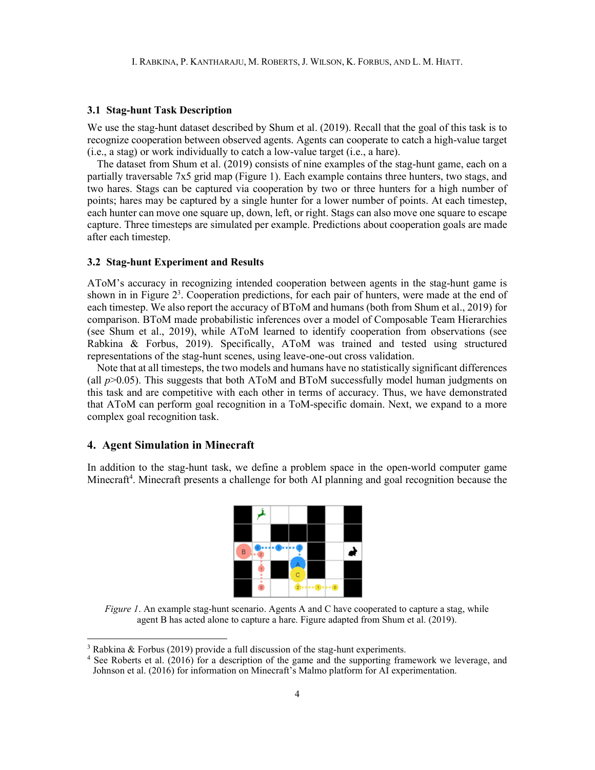## 3.1 Stag-hunt Task Description

We use the stag-hunt dataset described by Shum et al. (2019). Recall that the goal of this task is to recognize cooperation between observed agents. Agents can cooperate to catch a high-value target (i.e., a stag) or work individually to catch a low-value target (i.e., a hare).

The dataset from Shum et al. (2019) consists of nine examples of the stag-hunt game, each on a partially traversable 7x5 grid map (Figure 1). Each example contains three hunters, two stags, and two hares. Stags can be captured via cooperation by two or three hunters for a high number of points; hares may be captured by a single hunter for a lower number of points. At each timestep, each hunter can move one square up, down, left, or right. Stags can also move one square to escape capture. Three timesteps are simulated per example. Predictions about cooperation goals are made after each timestep.

#### 3.2 Stag-hunt Experiment and Results

AToM's accuracy in recognizing intended cooperation between agents in the stag-hunt game is shown in in Figure  $2<sup>3</sup>$ . Cooperation predictions, for each pair of hunters, were made at the end of each timestep. We also report the accuracy of BToM and humans (both from Shum et al., 2019) for comparison. BToM made probabilistic inferences over a model of Composable Team Hierarchies (see Shum et al., 2019), while AToM learned to identify cooperation from observations (see Rabkina & Forbus, 2019). Specifically, AToM was trained and tested using structured representations of the stag-hunt scenes, using leave-one-out cross validation.

Note that at all timesteps, the two models and humans have no statistically significant differences (all  $p$  $>$ 0.05). This suggests that both AToM and BToM successfully model human judgments on this task and are competitive with each other in terms of accuracy. Thus, we have demonstrated that AToM can perform goal recognition in a ToM-specific domain. Next, we expand to a more complex goal recognition task.

# 4. Agent Simulation in Minecraft

In addition to the stag-hunt task, we define a problem space in the open-world computer game Minecraft<sup>4</sup>. Minecraft presents a challenge for both AI planning and goal recognition because the



Figure 1. An example stag-hunt scenario. Agents A and C have cooperated to capture a stag, while agent B has acted alone to capture a hare. Figure adapted from Shum et al. (2019).

<sup>&</sup>lt;sup>3</sup> Rabkina & Forbus (2019) provide a full discussion of the stag-hunt experiments.

<sup>4</sup> See Roberts et al. (2016) for a description of the game and the supporting framework we leverage, and Johnson et al. (2016) for information on Minecraft's Malmo platform for AI experimentation.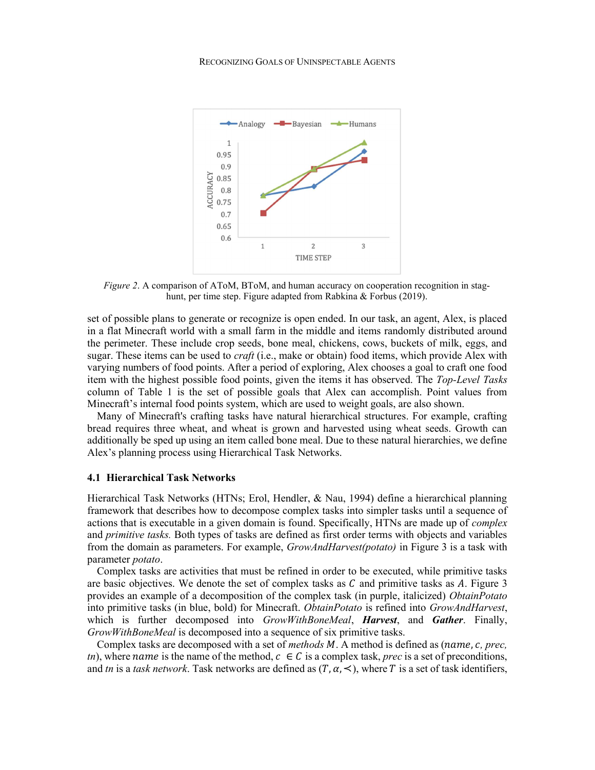

Figure 2. A comparison of AToM, BToM, and human accuracy on cooperation recognition in staghunt, per time step. Figure adapted from Rabkina & Forbus (2019).

set of possible plans to generate or recognize is open ended. In our task, an agent, Alex, is placed in a flat Minecraft world with a small farm in the middle and items randomly distributed around the perimeter. These include crop seeds, bone meal, chickens, cows, buckets of milk, eggs, and sugar. These items can be used to *craft* (i.e., make or obtain) food items, which provide Alex with varying numbers of food points. After a period of exploring, Alex chooses a goal to craft one food item with the highest possible food points, given the items it has observed. The Top-Level Tasks column of Table 1 is the set of possible goals that Alex can accomplish. Point values from Minecraft's internal food points system, which are used to weight goals, are also shown.

Many of Minecraft's crafting tasks have natural hierarchical structures. For example, crafting bread requires three wheat, and wheat is grown and harvested using wheat seeds. Growth can additionally be sped up using an item called bone meal. Due to these natural hierarchies, we define Alex's planning process using Hierarchical Task Networks.

#### 4.1 Hierarchical Task Networks

Hierarchical Task Networks (HTNs; Erol, Hendler, & Nau, 1994) define a hierarchical planning framework that describes how to decompose complex tasks into simpler tasks until a sequence of actions that is executable in a given domain is found. Specifically, HTNs are made up of *complex* and *primitive tasks*. Both types of tasks are defined as first order terms with objects and variables from the domain as parameters. For example, *GrowAndHarvest(potato)* in Figure 3 is a task with parameter potato.

Complex tasks are activities that must be refined in order to be executed, while primitive tasks are basic objectives. We denote the set of complex tasks as  $C$  and primitive tasks as  $A$ . Figure 3 provides an example of a decomposition of the complex task (in purple, italicized) ObtainPotato into primitive tasks (in blue, bold) for Minecraft. ObtainPotato is refined into GrowAndHarvest, which is further decomposed into GrowWithBoneMeal, Harvest, and Gather. Finally, GrowWithBoneMeal is decomposed into a sequence of six primitive tasks.

Complex tasks are decomposed with a set of *methods M.* A method is defined as  $(name, c, prec, )$ tn), where name is the name of the method,  $c \in C$  is a complex task, *prec* is a set of preconditions, and tn is a task network. Task networks are defined as  $(T, \alpha, \prec)$ , where T is a set of task identifiers,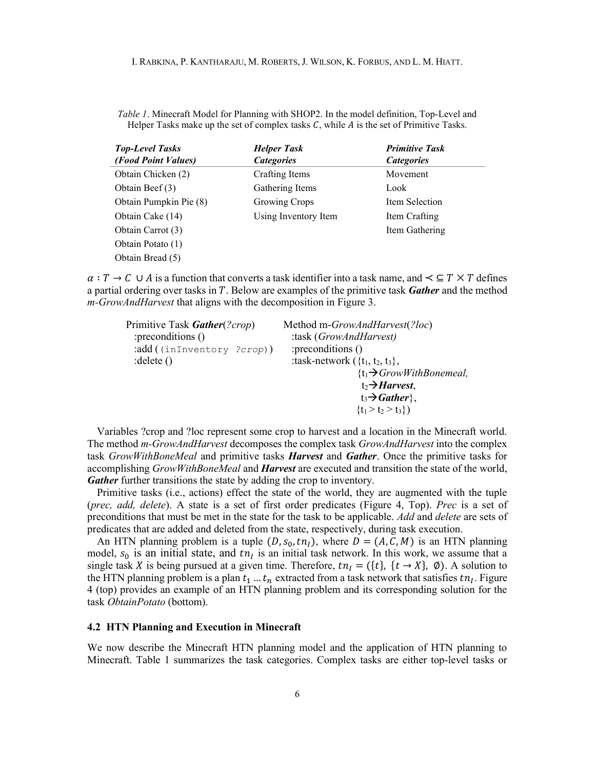Table 1. Minecraft Model for Planning with SHOP2. In the model definition, Top-Level and Helper Tasks make up the set of complex tasks  $C$ , while  $\vec{A}$  is the set of Primitive Tasks.

| <b>Top-Level Tasks</b> | <b>Helper Task</b>   | <b>Primitive Task</b> |
|------------------------|----------------------|-----------------------|
| (Food Point Values)    | <b>Categories</b>    | <b>Categories</b>     |
| Obtain Chicken (2)     | Crafting Items       | Movement              |
| Obtain Beef (3)        | Gathering Items      | Look                  |
| Obtain Pumpkin Pie (8) | Growing Crops        | Item Selection        |
| Obtain Cake (14)       | Using Inventory Item | Item Crafting         |
| Obtain Carrot (3)      |                      | Item Gathering        |
| Obtain Potato (1)      |                      |                       |
| Obtain Bread (5)       |                      |                       |

 $\alpha: T \to C \cup A$  is a function that converts a task identifier into a task name, and  $\prec \subseteq T \times T$  defines a partial ordering over tasks in  $T$ . Below are examples of the primitive task **Gather** and the method m-GrowAndHarvest that aligns with the decomposition in Figure 3.

| Primitive Task Gather(?crop) | Method m-GrowAndHarvest(?loc)         |
|------------------------------|---------------------------------------|
| :preconditions ()            | :task (GrowAndHarvest)                |
| :add((inInventory ?crop))    | :preconditions ()                     |
| $:$ delete $()$              | : task-network $({t_1, t_2, t_3},$    |
|                              | $\{t_1 \rightarrow GrowWithBonemeal,$ |
|                              | $t_2 \rightarrow$ Harvest,            |
|                              | $t_3 \rightarrow Gather\},\$          |
|                              | $\{t_1 > t_2 > t_3\})$                |

 Variables ?crop and ?loc represent some crop to harvest and a location in the Minecraft world. The method *m-GrowAndHarvest* decomposes the complex task *GrowAndHarvest* into the complex task *GrowWithBoneMeal* and primitive tasks **Harvest** and **Gather**. Once the primitive tasks for accomplishing *GrowWithBoneMeal* and *Harvest* are executed and transition the state of the world, Gather further transitions the state by adding the crop to inventory.

 Primitive tasks (i.e., actions) effect the state of the world, they are augmented with the tuple (prec, add, delete). A state is a set of first order predicates (Figure 4, Top). Prec is a set of preconditions that must be met in the state for the task to be applicable. Add and delete are sets of predicates that are added and deleted from the state, respectively, during task execution.

An HTN planning problem is a tuple  $(D, s_0, tn_1)$ , where  $D = (A, C, M)$  is an HTN planning model,  $s_0$  is an initial state, and  $tn<sub>I</sub>$  is an initial task network. In this work, we assume that a single task X is being pursued at a given time. Therefore,  $tn_l = (\{t\}, \{t \rightarrow X\}, \emptyset)$ . A solution to the HTN planning problem is a plan  $t_1...t_n$  extracted from a task network that satisfies  $tn_l$ . Figure 4 (top) provides an example of an HTN planning problem and its corresponding solution for the task ObtainPotato (bottom).

#### 4.2 HTN Planning and Execution in Minecraft

We now describe the Minecraft HTN planning model and the application of HTN planning to Minecraft. Table 1 summarizes the task categories. Complex tasks are either top-level tasks or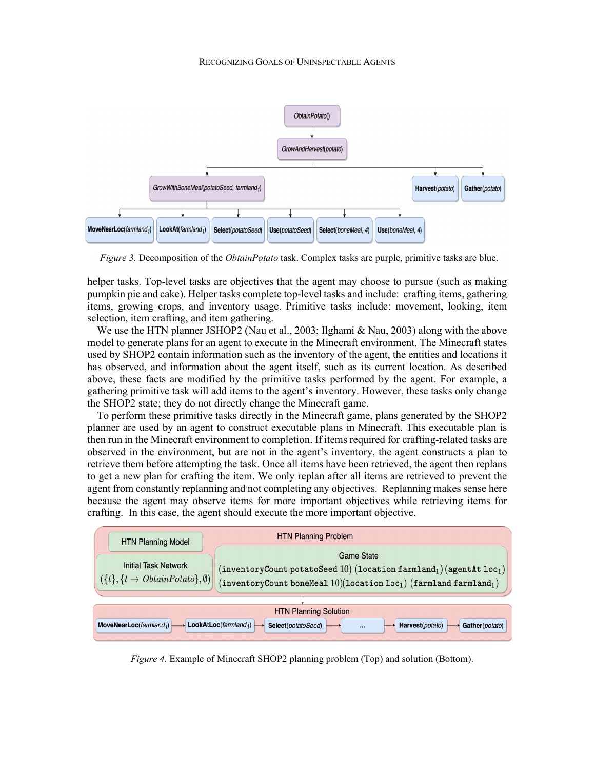#### RECOGNIZING GOALS OF UNINSPECTABLE AGENTS



Figure 3. Decomposition of the *ObtainPotato* task. Complex tasks are purple, primitive tasks are blue.

helper tasks. Top-level tasks are objectives that the agent may choose to pursue (such as making pumpkin pie and cake). Helper tasks complete top-level tasks and include: crafting items, gathering items, growing crops, and inventory usage. Primitive tasks include: movement, looking, item selection, item crafting, and item gathering.

We use the HTN planner JSHOP2 (Nau et al., 2003; Ilghami & Nau, 2003) along with the above model to generate plans for an agent to execute in the Minecraft environment. The Minecraft states used by SHOP2 contain information such as the inventory of the agent, the entities and locations it has observed, and information about the agent itself, such as its current location. As described above, these facts are modified by the primitive tasks performed by the agent. For example, a gathering primitive task will add items to the agent's inventory. However, these tasks only change the SHOP2 state; they do not directly change the Minecraft game.

 To perform these primitive tasks directly in the Minecraft game, plans generated by the SHOP2 planner are used by an agent to construct executable plans in Minecraft. This executable plan is then run in the Minecraft environment to completion. If items required for crafting-related tasks are observed in the environment, but are not in the agent's inventory, the agent constructs a plan to retrieve them before attempting the task. Once all items have been retrieved, the agent then replans to get a new plan for crafting the item. We only replan after all items are retrieved to prevent the agent from constantly replanning and not completing any objectives. Replanning makes sense here because the agent may observe items for more important objectives while retrieving items for crafting. In this case, the agent should execute the more important objective.



Figure 4. Example of Minecraft SHOP2 planning problem (Top) and solution (Bottom).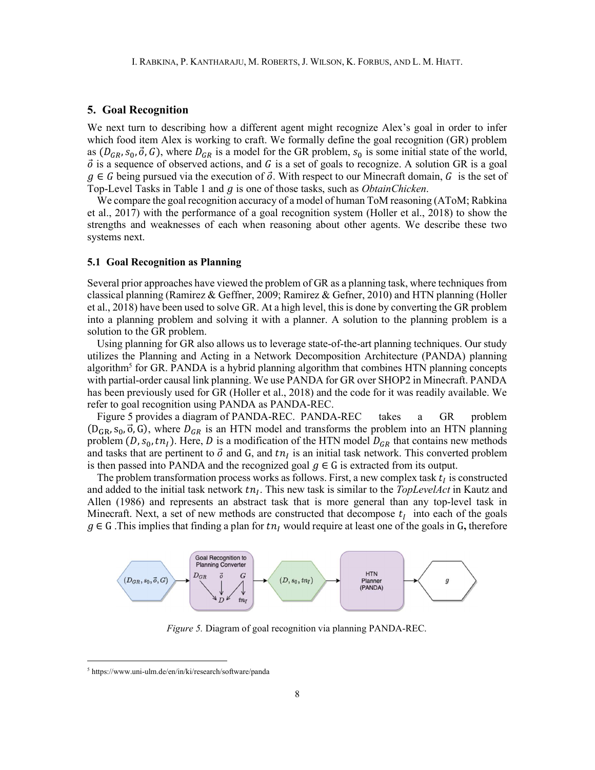## 5. Goal Recognition

We next turn to describing how a different agent might recognize Alex's goal in order to infer which food item Alex is working to craft. We formally define the goal recognition (GR) problem as  $(D_{GR}, S_0, \vec{o}, G)$ , where  $D_{GR}$  is a model for the GR problem,  $S_0$  is some initial state of the world,  $\vec{o}$  is a sequence of observed actions, and G is a set of goals to recognize. A solution GR is a goal  $g \in G$  being pursued via the execution of  $\vec{o}$ . With respect to our Minecraft domain,  $G$  is the set of Top-Level Tasks in Table 1 and  $q$  is one of those tasks, such as *ObtainChicken*.

We compare the goal recognition accuracy of a model of human ToM reasoning (AToM; Rabkina et al., 2017) with the performance of a goal recognition system (Holler et al., 2018) to show the strengths and weaknesses of each when reasoning about other agents. We describe these two systems next.

# 5.1 Goal Recognition as Planning

Several prior approaches have viewed the problem of GR as a planning task, where techniques from classical planning (Ramirez & Geffner, 2009; Ramirez & Gefner, 2010) and HTN planning (Holler et al., 2018) have been used to solve GR. At a high level, this is done by converting the GR problem into a planning problem and solving it with a planner. A solution to the planning problem is a solution to the GR problem.

Using planning for GR also allows us to leverage state-of-the-art planning techniques. Our study utilizes the Planning and Acting in a Network Decomposition Architecture (PANDA) planning algorithm<sup>5</sup> for GR. PANDA is a hybrid planning algorithm that combines HTN planning concepts with partial-order causal link planning. We use PANDA for GR over SHOP2 in Minecraft. PANDA has been previously used for GR (Holler et al., 2018) and the code for it was readily available. We refer to goal recognition using PANDA as PANDA-REC.

Figure 5 provides a diagram of PANDA-REC. PANDA-REC takes a GR problem  $(D_{GR}, s_0, \vec{o}, G)$ , where  $D_{GR}$  is an HTN model and transforms the problem into an HTN planning problem (D,  $s_0$ ,  $t n_l$ ). Here, D is a modification of the HTN model  $D_{GR}$  that contains new methods and tasks that are pertinent to  $\vec{o}$  and  $G$ , and  $tn<sub>I</sub>$  is an initial task network. This converted problem is then passed into PANDA and the recognized goal  $g \in G$  is extracted from its output.

The problem transformation process works as follows. First, a new complex task  $t<sub>I</sub>$  is constructed and added to the initial task network  $tn_l$ . This new task is similar to the *TopLevelAct* in Kautz and Allen (1986) and represents an abstract task that is more general than any top-level task in Minecraft. Next, a set of new methods are constructed that decompose  $t_i$  into each of the goals  $g \in G$ . This implies that finding a plan for  $t n<sub>I</sub>$  would require at least one of the goals in G, therefore



Figure 5. Diagram of goal recognition via planning PANDA-REC.

<sup>5</sup> https://www.uni-ulm.de/en/in/ki/research/software/panda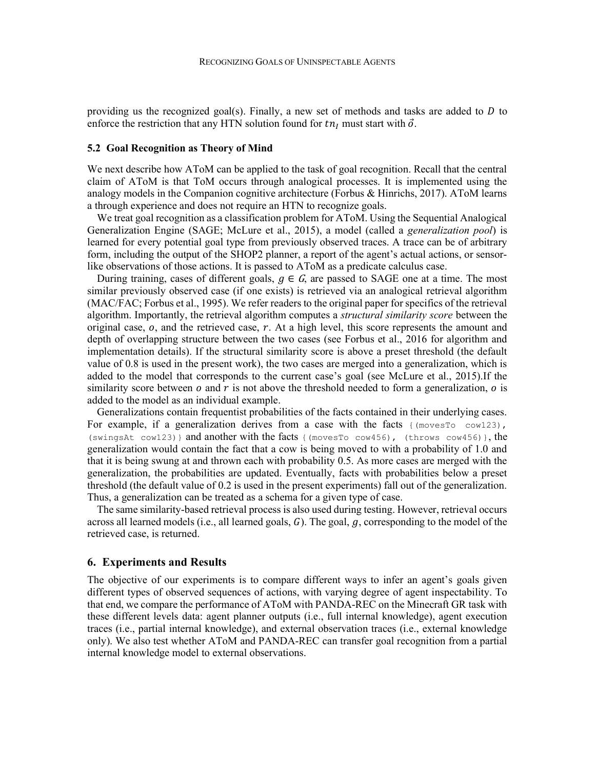providing us the recognized goal(s). Finally, a new set of methods and tasks are added to  $D$  to enforce the restriction that any HTN solution found for  $tn_l$  must start with  $\vec{o}$ .

## 5.2 Goal Recognition as Theory of Mind

We next describe how AToM can be applied to the task of goal recognition. Recall that the central claim of AToM is that ToM occurs through analogical processes. It is implemented using the analogy models in the Companion cognitive architecture (Forbus & Hinrichs, 2017). AToM learns a through experience and does not require an HTN to recognize goals.

We treat goal recognition as a classification problem for AToM. Using the Sequential Analogical Generalization Engine (SAGE; McLure et al., 2015), a model (called a *generalization pool*) is learned for every potential goal type from previously observed traces. A trace can be of arbitrary form, including the output of the SHOP2 planner, a report of the agent's actual actions, or sensorlike observations of those actions. It is passed to AToM as a predicate calculus case.

During training, cases of different goals,  $q \in G$ , are passed to SAGE one at a time. The most similar previously observed case (if one exists) is retrieved via an analogical retrieval algorithm (MAC/FAC; Forbus et al., 1995). We refer readers to the original paper for specifics of the retrieval algorithm. Importantly, the retrieval algorithm computes a *structural similarity score* between the original case,  $o$ , and the retrieved case,  $r$ . At a high level, this score represents the amount and depth of overlapping structure between the two cases (see Forbus et al., 2016 for algorithm and implementation details). If the structural similarity score is above a preset threshold (the default value of 0.8 is used in the present work), the two cases are merged into a generalization, which is added to the model that corresponds to the current case's goal (see McLure et al., 2015).If the similarity score between  $o$  and  $r$  is not above the threshold needed to form a generalization,  $o$  is added to the model as an individual example.

Generalizations contain frequentist probabilities of the facts contained in their underlying cases. For example, if a generalization derives from a case with the facts  $\{(\text{movesTo } \text{cowl23})\}$ , (swingsAt cow123)} and another with the facts {(movesTo cow456), (throws cow456)}, the generalization would contain the fact that a cow is being moved to with a probability of 1.0 and that it is being swung at and thrown each with probability 0.5. As more cases are merged with the generalization, the probabilities are updated. Eventually, facts with probabilities below a preset threshold (the default value of 0.2 is used in the present experiments) fall out of the generalization. Thus, a generalization can be treated as a schema for a given type of case.

The same similarity-based retrieval process is also used during testing. However, retrieval occurs across all learned models (i.e., all learned goals,  $G$ ). The goal,  $g$ , corresponding to the model of the retrieved case, is returned.

# 6. Experiments and Results

The objective of our experiments is to compare different ways to infer an agent's goals given different types of observed sequences of actions, with varying degree of agent inspectability. To that end, we compare the performance of AToM with PANDA-REC on the Minecraft GR task with these different levels data: agent planner outputs (i.e., full internal knowledge), agent execution traces (i.e., partial internal knowledge), and external observation traces (i.e., external knowledge only). We also test whether AToM and PANDA-REC can transfer goal recognition from a partial internal knowledge model to external observations.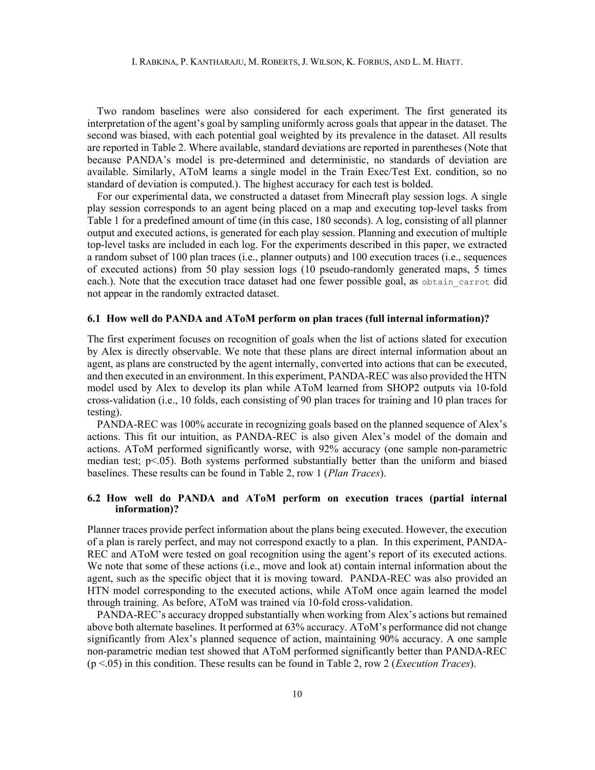Two random baselines were also considered for each experiment. The first generated its interpretation of the agent's goal by sampling uniformly across goals that appear in the dataset. The second was biased, with each potential goal weighted by its prevalence in the dataset. All results are reported in Table 2. Where available, standard deviations are reported in parentheses (Note that because PANDA's model is pre-determined and deterministic, no standards of deviation are available. Similarly, AToM learns a single model in the Train Exec/Test Ext. condition, so no standard of deviation is computed.). The highest accuracy for each test is bolded.

For our experimental data, we constructed a dataset from Minecraft play session logs. A single play session corresponds to an agent being placed on a map and executing top-level tasks from Table 1 for a predefined amount of time (in this case, 180 seconds). A log, consisting of all planner output and executed actions, is generated for each play session. Planning and execution of multiple top-level tasks are included in each log. For the experiments described in this paper, we extracted a random subset of 100 plan traces (i.e., planner outputs) and 100 execution traces (i.e., sequences of executed actions) from 50 play session logs (10 pseudo-randomly generated maps, 5 times each.). Note that the execution trace dataset had one fewer possible goal, as obtain carrot did not appear in the randomly extracted dataset.

### 6.1 How well do PANDA and AToM perform on plan traces (full internal information)?

The first experiment focuses on recognition of goals when the list of actions slated for execution by Alex is directly observable. We note that these plans are direct internal information about an agent, as plans are constructed by the agent internally, converted into actions that can be executed, and then executed in an environment. In this experiment, PANDA-REC was also provided the HTN model used by Alex to develop its plan while AToM learned from SHOP2 outputs via 10-fold cross-validation (i.e., 10 folds, each consisting of 90 plan traces for training and 10 plan traces for testing).

PANDA-REC was 100% accurate in recognizing goals based on the planned sequence of Alex's actions. This fit our intuition, as PANDA-REC is also given Alex's model of the domain and actions. AToM performed significantly worse, with 92% accuracy (one sample non-parametric median test;  $p<0.05$ ). Both systems performed substantially better than the uniform and biased baselines. These results can be found in Table 2, row 1 (*Plan Traces*).

# 6.2 How well do PANDA and AToM perform on execution traces (partial internal information)?

Planner traces provide perfect information about the plans being executed. However, the execution of a plan is rarely perfect, and may not correspond exactly to a plan. In this experiment, PANDA-REC and AToM were tested on goal recognition using the agent's report of its executed actions. We note that some of these actions (i.e., move and look at) contain internal information about the agent, such as the specific object that it is moving toward. PANDA-REC was also provided an HTN model corresponding to the executed actions, while AToM once again learned the model through training. As before, AToM was trained via 10-fold cross-validation.

PANDA-REC's accuracy dropped substantially when working from Alex's actions but remained above both alternate baselines. It performed at 63% accuracy. AToM's performance did not change significantly from Alex's planned sequence of action, maintaining 90% accuracy. A one sample non-parametric median test showed that AToM performed significantly better than PANDA-REC  $(p < .05)$  in this condition. These results can be found in Table 2, row 2 (*Execution Traces*).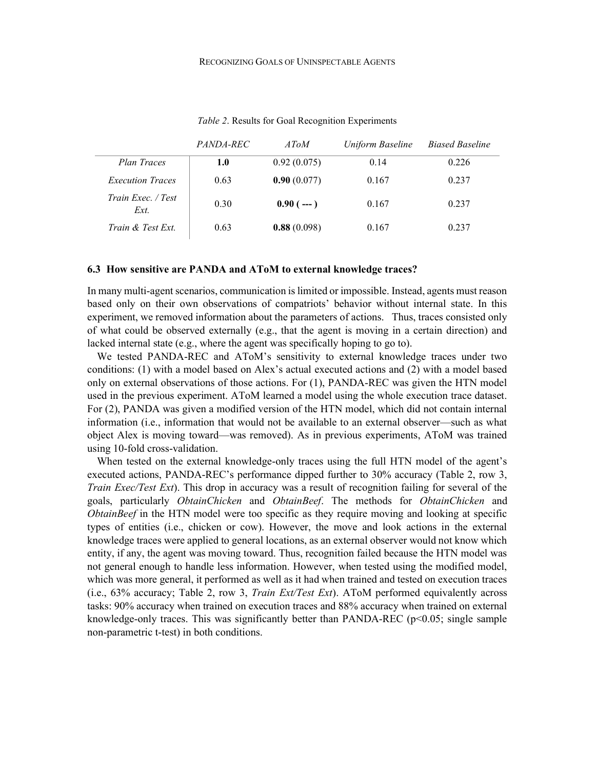|                            | <i>PANDA-REC</i> | $A$ ToM     | Uniform Baseline | <b>Biased Baseline</b> |
|----------------------------|------------------|-------------|------------------|------------------------|
| Plan Traces                | 1.0              | 0.92(0.075) | 0.14             | 0.226                  |
| <b>Execution Traces</b>    | 0.63             | 0.90(0.077) | 0.167            | 0.237                  |
| Train Exec. / Test<br>Ext. | 0.30             | $0.90(--1)$ | 0.167            | 0.237                  |
| Train & Test Ext.          | 0.63             | 0.88(0.098) | 0.167            | 0.237                  |

Table 2. Results for Goal Recognition Experiments

#### 6.3 How sensitive are PANDA and AToM to external knowledge traces?

In many multi-agent scenarios, communication is limited or impossible. Instead, agents must reason based only on their own observations of compatriots' behavior without internal state. In this experiment, we removed information about the parameters of actions. Thus, traces consisted only of what could be observed externally (e.g., that the agent is moving in a certain direction) and lacked internal state (e.g., where the agent was specifically hoping to go to).

 We tested PANDA-REC and AToM's sensitivity to external knowledge traces under two conditions: (1) with a model based on Alex's actual executed actions and (2) with a model based only on external observations of those actions. For (1), PANDA-REC was given the HTN model used in the previous experiment. AToM learned a model using the whole execution trace dataset. For (2), PANDA was given a modified version of the HTN model, which did not contain internal information (i.e., information that would not be available to an external observer—such as what object Alex is moving toward—was removed). As in previous experiments, AToM was trained using 10-fold cross-validation.

When tested on the external knowledge-only traces using the full HTN model of the agent's executed actions, PANDA-REC's performance dipped further to 30% accuracy (Table 2, row 3, Train Exec/Test Ext). This drop in accuracy was a result of recognition failing for several of the goals, particularly ObtainChicken and ObtainBeef. The methods for ObtainChicken and ObtainBeef in the HTN model were too specific as they require moving and looking at specific types of entities (i.e., chicken or cow). However, the move and look actions in the external knowledge traces were applied to general locations, as an external observer would not know which entity, if any, the agent was moving toward. Thus, recognition failed because the HTN model was not general enough to handle less information. However, when tested using the modified model, which was more general, it performed as well as it had when trained and tested on execution traces (i.e., 63% accuracy; Table 2, row 3, Train Ext/Test Ext). AToM performed equivalently across tasks: 90% accuracy when trained on execution traces and 88% accuracy when trained on external knowledge-only traces. This was significantly better than PANDA-REC ( $p<0.05$ ; single sample non-parametric t-test) in both conditions.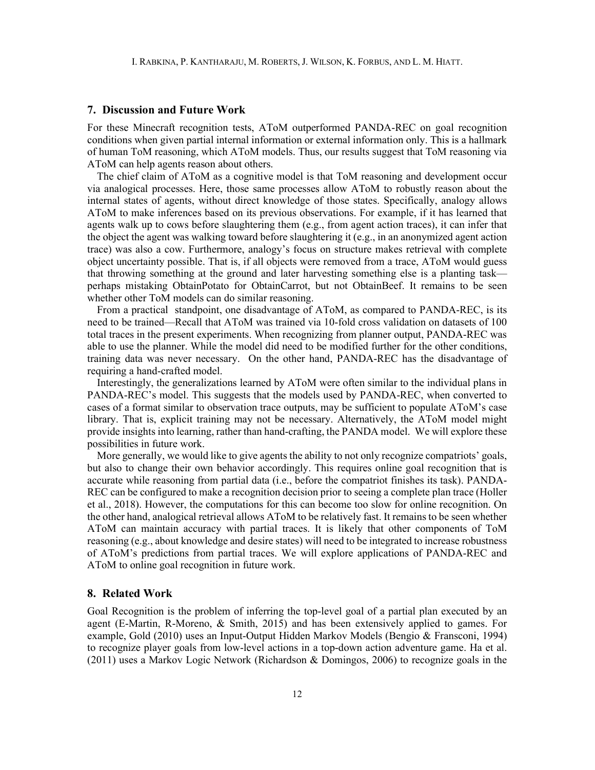#### 7. Discussion and Future Work

For these Minecraft recognition tests, AToM outperformed PANDA-REC on goal recognition conditions when given partial internal information or external information only. This is a hallmark of human ToM reasoning, which AToM models. Thus, our results suggest that ToM reasoning via AToM can help agents reason about others.

The chief claim of AToM as a cognitive model is that ToM reasoning and development occur via analogical processes. Here, those same processes allow AToM to robustly reason about the internal states of agents, without direct knowledge of those states. Specifically, analogy allows AToM to make inferences based on its previous observations. For example, if it has learned that agents walk up to cows before slaughtering them (e.g., from agent action traces), it can infer that the object the agent was walking toward before slaughtering it (e.g., in an anonymized agent action trace) was also a cow. Furthermore, analogy's focus on structure makes retrieval with complete object uncertainty possible. That is, if all objects were removed from a trace, AToM would guess that throwing something at the ground and later harvesting something else is a planting task perhaps mistaking ObtainPotato for ObtainCarrot, but not ObtainBeef. It remains to be seen whether other ToM models can do similar reasoning.

From a practical standpoint, one disadvantage of AToM, as compared to PANDA-REC, is its need to be trained—Recall that AToM was trained via 10-fold cross validation on datasets of 100 total traces in the present experiments. When recognizing from planner output, PANDA-REC was able to use the planner. While the model did need to be modified further for the other conditions, training data was never necessary. On the other hand, PANDA-REC has the disadvantage of requiring a hand-crafted model.

Interestingly, the generalizations learned by AToM were often similar to the individual plans in PANDA-REC's model. This suggests that the models used by PANDA-REC, when converted to cases of a format similar to observation trace outputs, may be sufficient to populate AToM's case library. That is, explicit training may not be necessary. Alternatively, the AToM model might provide insights into learning, rather than hand-crafting, the PANDA model. We will explore these possibilities in future work.

More generally, we would like to give agents the ability to not only recognize compatriots' goals, but also to change their own behavior accordingly. This requires online goal recognition that is accurate while reasoning from partial data (i.e., before the compatriot finishes its task). PANDA-REC can be configured to make a recognition decision prior to seeing a complete plan trace (Holler et al., 2018). However, the computations for this can become too slow for online recognition. On the other hand, analogical retrieval allows AToM to be relatively fast. It remains to be seen whether AToM can maintain accuracy with partial traces. It is likely that other components of ToM reasoning (e.g., about knowledge and desire states) will need to be integrated to increase robustness of AToM's predictions from partial traces. We will explore applications of PANDA-REC and AToM to online goal recognition in future work.

# 8. Related Work

Goal Recognition is the problem of inferring the top-level goal of a partial plan executed by an agent (E-Martin, R-Moreno, & Smith, 2015) and has been extensively applied to games. For example, Gold (2010) uses an Input-Output Hidden Markov Models (Bengio & Fransconi, 1994) to recognize player goals from low-level actions in a top-down action adventure game. Ha et al. (2011) uses a Markov Logic Network (Richardson & Domingos, 2006) to recognize goals in the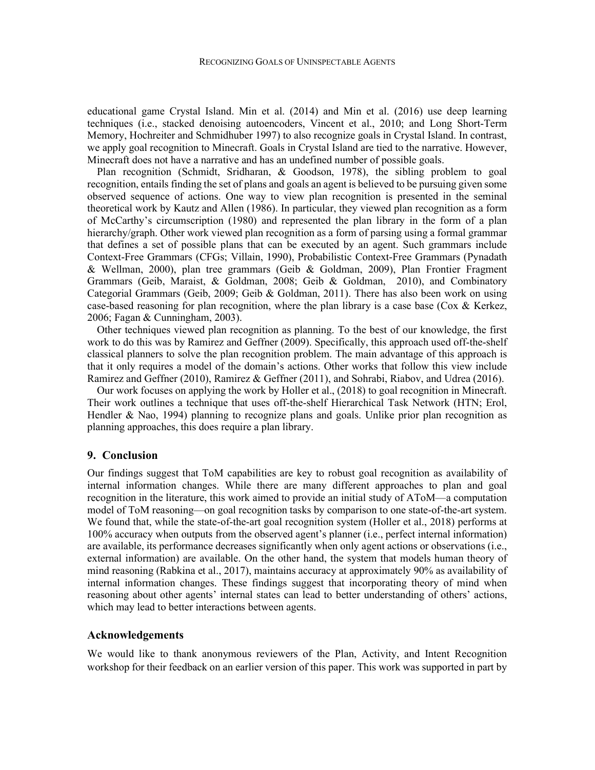educational game Crystal Island. Min et al. (2014) and Min et al. (2016) use deep learning techniques (i.e., stacked denoising autoencoders, Vincent et al., 2010; and Long Short-Term Memory, Hochreiter and Schmidhuber 1997) to also recognize goals in Crystal Island. In contrast, we apply goal recognition to Minecraft. Goals in Crystal Island are tied to the narrative. However, Minecraft does not have a narrative and has an undefined number of possible goals.

 Plan recognition (Schmidt, Sridharan, & Goodson, 1978), the sibling problem to goal recognition, entails finding the set of plans and goals an agent is believed to be pursuing given some observed sequence of actions. One way to view plan recognition is presented in the seminal theoretical work by Kautz and Allen (1986). In particular, they viewed plan recognition as a form of McCarthy's circumscription (1980) and represented the plan library in the form of a plan hierarchy/graph. Other work viewed plan recognition as a form of parsing using a formal grammar that defines a set of possible plans that can be executed by an agent. Such grammars include Context-Free Grammars (CFGs; Villain, 1990), Probabilistic Context-Free Grammars (Pynadath & Wellman, 2000), plan tree grammars (Geib & Goldman, 2009), Plan Frontier Fragment Grammars (Geib, Maraist, & Goldman, 2008; Geib & Goldman, 2010), and Combinatory Categorial Grammars (Geib, 2009; Geib & Goldman, 2011). There has also been work on using case-based reasoning for plan recognition, where the plan library is a case base (Cox & Kerkez, 2006; Fagan & Cunningham, 2003).

 Other techniques viewed plan recognition as planning. To the best of our knowledge, the first work to do this was by Ramirez and Geffner (2009). Specifically, this approach used off-the-shelf classical planners to solve the plan recognition problem. The main advantage of this approach is that it only requires a model of the domain's actions. Other works that follow this view include Ramirez and Geffner (2010), Ramirez & Geffner (2011), and Sohrabi, Riabov, and Udrea (2016).

 Our work focuses on applying the work by Holler et al., (2018) to goal recognition in Minecraft. Their work outlines a technique that uses off-the-shelf Hierarchical Task Network (HTN; Erol, Hendler & Nao, 1994) planning to recognize plans and goals. Unlike prior plan recognition as planning approaches, this does require a plan library.

# 9. Conclusion

Our findings suggest that ToM capabilities are key to robust goal recognition as availability of internal information changes. While there are many different approaches to plan and goal recognition in the literature, this work aimed to provide an initial study of AToM—a computation model of ToM reasoning—on goal recognition tasks by comparison to one state-of-the-art system. We found that, while the state-of-the-art goal recognition system (Holler et al., 2018) performs at 100% accuracy when outputs from the observed agent's planner (i.e., perfect internal information) are available, its performance decreases significantly when only agent actions or observations (i.e., external information) are available. On the other hand, the system that models human theory of mind reasoning (Rabkina et al., 2017), maintains accuracy at approximately 90% as availability of internal information changes. These findings suggest that incorporating theory of mind when reasoning about other agents' internal states can lead to better understanding of others' actions, which may lead to better interactions between agents.

#### Acknowledgements

We would like to thank anonymous reviewers of the Plan, Activity, and Intent Recognition workshop for their feedback on an earlier version of this paper. This work was supported in part by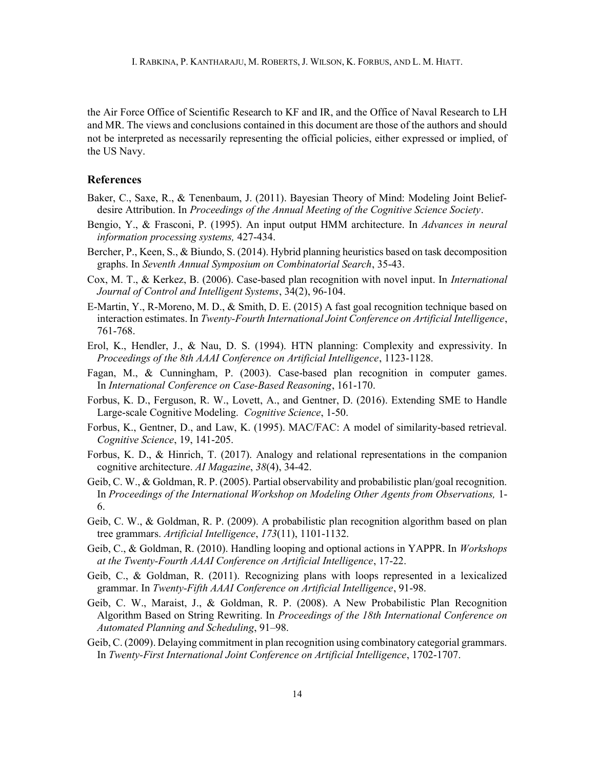the Air Force Office of Scientific Research to KF and IR, and the Office of Naval Research to LH and MR. The views and conclusions contained in this document are those of the authors and should not be interpreted as necessarily representing the official policies, either expressed or implied, of the US Navy.

## References

- Baker, C., Saxe, R., & Tenenbaum, J. (2011). Bayesian Theory of Mind: Modeling Joint Beliefdesire Attribution. In *Proceedings of the Annual Meeting of the Cognitive Science Society*.
- Bengio, Y., & Frasconi, P. (1995). An input output HMM architecture. In Advances in neural information processing systems, 427-434.
- Bercher, P., Keen, S., & Biundo, S. (2014). Hybrid planning heuristics based on task decomposition graphs. In Seventh Annual Symposium on Combinatorial Search, 35-43.
- Cox, M. T., & Kerkez, B. (2006). Case-based plan recognition with novel input. In International Journal of Control and Intelligent Systems, 34(2), 96-104.
- E-Martin, Y., R-Moreno, M. D., & Smith, D. E. (2015) A fast goal recognition technique based on interaction estimates. In Twenty-Fourth International Joint Conference on Artificial Intelligence, 761-768.
- Erol, K., Hendler, J., & Nau, D. S. (1994). HTN planning: Complexity and expressivity. In Proceedings of the 8th AAAI Conference on Artificial Intelligence, 1123-1128.
- Fagan, M., & Cunningham, P. (2003). Case-based plan recognition in computer games. In International Conference on Case-Based Reasoning, 161-170.
- Forbus, K. D., Ferguson, R. W., Lovett, A., and Gentner, D. (2016). Extending SME to Handle Large-scale Cognitive Modeling. Cognitive Science, 1-50.
- Forbus, K., Gentner, D., and Law, K. (1995). MAC/FAC: A model of similarity-based retrieval. Cognitive Science, 19, 141-205.
- Forbus, K. D., & Hinrich, T. (2017). Analogy and relational representations in the companion cognitive architecture. AI Magazine, 38(4), 34-42.
- Geib, C. W., & Goldman, R. P. (2005). Partial observability and probabilistic plan/goal recognition. In Proceedings of the International Workshop on Modeling Other Agents from Observations, 1- 6.
- Geib, C. W., & Goldman, R. P. (2009). A probabilistic plan recognition algorithm based on plan tree grammars. Artificial Intelligence, 173(11), 1101-1132.
- Geib, C., & Goldman, R. (2010). Handling looping and optional actions in YAPPR. In Workshops at the Twenty-Fourth AAAI Conference on Artificial Intelligence, 17-22.
- Geib, C., & Goldman, R. (2011). Recognizing plans with loops represented in a lexicalized grammar. In Twenty-Fifth AAAI Conference on Artificial Intelligence, 91-98.
- Geib, C. W., Maraist, J., & Goldman, R. P. (2008). A New Probabilistic Plan Recognition Algorithm Based on String Rewriting. In Proceedings of the 18th International Conference on Automated Planning and Scheduling, 91–98.
- Geib, C. (2009). Delaying commitment in plan recognition using combinatory categorial grammars. In Twenty-First International Joint Conference on Artificial Intelligence, 1702-1707.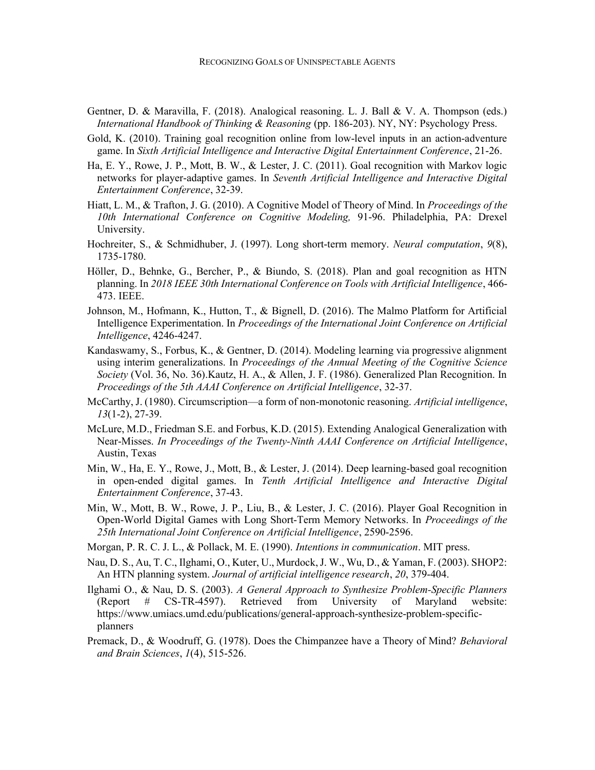- Gentner, D. & Maravilla, F. (2018). Analogical reasoning. L. J. Ball & V. A. Thompson (eds.) International Handbook of Thinking & Reasoning (pp. 186-203). NY, NY: Psychology Press.
- Gold, K. (2010). Training goal recognition online from low-level inputs in an action-adventure game. In Sixth Artificial Intelligence and Interactive Digital Entertainment Conference, 21-26.
- Ha, E. Y., Rowe, J. P., Mott, B. W., & Lester, J. C. (2011). Goal recognition with Markov logic networks for player-adaptive games. In Seventh Artificial Intelligence and Interactive Digital Entertainment Conference, 32-39.
- Hiatt, L. M., & Trafton, J. G. (2010). A Cognitive Model of Theory of Mind. In *Proceedings of the* 10th International Conference on Cognitive Modeling, 91-96. Philadelphia, PA: Drexel University.
- Hochreiter, S., & Schmidhuber, J. (1997). Long short-term memory. *Neural computation*, 9(8), 1735-1780.
- Höller, D., Behnke, G., Bercher, P., & Biundo, S. (2018). Plan and goal recognition as HTN planning. In 2018 IEEE 30th International Conference on Tools with Artificial Intelligence, 466- 473. IEEE.
- Johnson, M., Hofmann, K., Hutton, T., & Bignell, D. (2016). The Malmo Platform for Artificial Intelligence Experimentation. In Proceedings of the International Joint Conference on Artificial Intelligence, 4246-4247.
- Kandaswamy, S., Forbus, K., & Gentner, D. (2014). Modeling learning via progressive alignment using interim generalizations. In Proceedings of the Annual Meeting of the Cognitive Science Society (Vol. 36, No. 36).Kautz, H. A., & Allen, J. F. (1986). Generalized Plan Recognition. In Proceedings of the 5th AAAI Conference on Artificial Intelligence, 32-37.
- McCarthy, J. (1980). Circumscription—a form of non-monotonic reasoning. Artificial intelligence, 13(1-2), 27-39.
- McLure, M.D., Friedman S.E. and Forbus, K.D. (2015). Extending Analogical Generalization with Near-Misses. In Proceedings of the Twenty-Ninth AAAI Conference on Artificial Intelligence, Austin, Texas
- Min, W., Ha, E. Y., Rowe, J., Mott, B., & Lester, J. (2014). Deep learning-based goal recognition in open-ended digital games. In Tenth Artificial Intelligence and Interactive Digital Entertainment Conference, 37-43.
- Min, W., Mott, B. W., Rowe, J. P., Liu, B., & Lester, J. C. (2016). Player Goal Recognition in Open-World Digital Games with Long Short-Term Memory Networks. In Proceedings of the 25th International Joint Conference on Artificial Intelligence, 2590-2596.
- Morgan, P. R. C. J. L., & Pollack, M. E. (1990). *Intentions in communication*. MIT press.
- Nau, D. S., Au, T. C., Ilghami, O., Kuter, U., Murdock, J. W., Wu, D., & Yaman, F. (2003). SHOP2: An HTN planning system. Journal of artificial intelligence research, 20, 379-404.
- Ilghami O., & Nau, D. S. (2003). A General Approach to Synthesize Problem-Specific Planners (Report # CS-TR-4597). Retrieved from University of Maryland website: https://www.umiacs.umd.edu/publications/general-approach-synthesize-problem-specificplanners
- Premack, D., & Woodruff, G. (1978). Does the Chimpanzee have a Theory of Mind? Behavioral and Brain Sciences,  $1(4)$ , 515-526.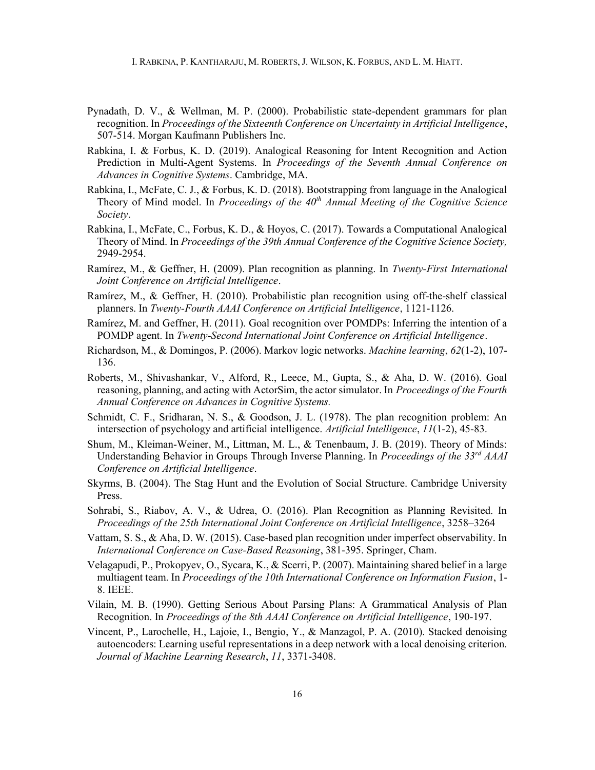I. RABKINA, P. KANTHARAJU, M. ROBERTS, J. WILSON, K. FORBUS, AND L. M. HIATT.

- Pynadath, D. V., & Wellman, M. P. (2000). Probabilistic state-dependent grammars for plan recognition. In Proceedings of the Sixteenth Conference on Uncertainty in Artificial Intelligence, 507-514. Morgan Kaufmann Publishers Inc.
- Rabkina, I. & Forbus, K. D. (2019). Analogical Reasoning for Intent Recognition and Action Prediction in Multi-Agent Systems. In Proceedings of the Seventh Annual Conference on Advances in Cognitive Systems. Cambridge, MA.
- Rabkina, I., McFate, C. J., & Forbus, K. D. (2018). Bootstrapping from language in the Analogical Theory of Mind model. In Proceedings of the  $40<sup>th</sup>$  Annual Meeting of the Cognitive Science Society.
- Rabkina, I., McFate, C., Forbus, K. D., & Hoyos, C. (2017). Towards a Computational Analogical Theory of Mind. In Proceedings of the 39th Annual Conference of the Cognitive Science Society, 2949-2954.
- Ramírez, M., & Geffner, H. (2009). Plan recognition as planning. In Twenty-First International Joint Conference on Artificial Intelligence.
- Ramírez, M., & Geffner, H. (2010). Probabilistic plan recognition using off-the-shelf classical planners. In Twenty-Fourth AAAI Conference on Artificial Intelligence, 1121-1126.
- Ramírez, M. and Geffner, H. (2011). Goal recognition over POMDPs: Inferring the intention of a POMDP agent. In Twenty-Second International Joint Conference on Artificial Intelligence.
- Richardson, M., & Domingos, P. (2006). Markov logic networks. Machine learning, 62(1-2), 107- 136.
- Roberts, M., Shivashankar, V., Alford, R., Leece, M., Gupta, S., & Aha, D. W. (2016). Goal reasoning, planning, and acting with ActorSim, the actor simulator. In Proceedings of the Fourth Annual Conference on Advances in Cognitive Systems.
- Schmidt, C. F., Sridharan, N. S., & Goodson, J. L. (1978). The plan recognition problem: An intersection of psychology and artificial intelligence. Artificial Intelligence,  $11(1-2)$ , 45-83.
- Shum, M., Kleiman-Weiner, M., Littman, M. L., & Tenenbaum, J. B. (2019). Theory of Minds: Understanding Behavior in Groups Through Inverse Planning. In Proceedings of the 33<sup>rd</sup> AAAI Conference on Artificial Intelligence.
- Skyrms, B. (2004). The Stag Hunt and the Evolution of Social Structure. Cambridge University Press.
- Sohrabi, S., Riabov, A. V., & Udrea, O. (2016). Plan Recognition as Planning Revisited. In Proceedings of the 25th International Joint Conference on Artificial Intelligence, 3258–3264
- Vattam, S. S., & Aha, D. W. (2015). Case-based plan recognition under imperfect observability. In International Conference on Case-Based Reasoning, 381-395. Springer, Cham.
- Velagapudi, P., Prokopyev, O., Sycara, K., & Scerri, P. (2007). Maintaining shared belief in a large multiagent team. In Proceedings of the 10th International Conference on Information Fusion, 1-8. IEEE.
- Vilain, M. B. (1990). Getting Serious About Parsing Plans: A Grammatical Analysis of Plan Recognition. In Proceedings of the 8th AAAI Conference on Artificial Intelligence, 190-197.
- Vincent, P., Larochelle, H., Lajoie, I., Bengio, Y., & Manzagol, P. A. (2010). Stacked denoising autoencoders: Learning useful representations in a deep network with a local denoising criterion. Journal of Machine Learning Research, 11, 3371-3408.